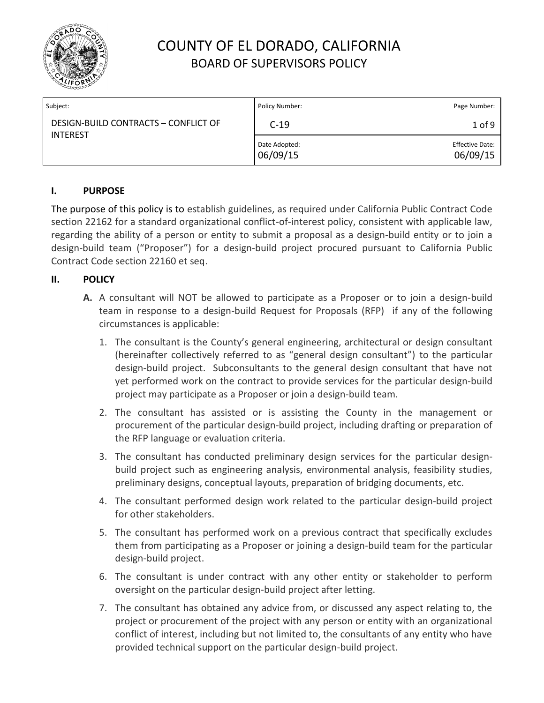

| Subject:                                                | Policy Number:            | Page Number:                       |
|---------------------------------------------------------|---------------------------|------------------------------------|
| DESIGN-BUILD CONTRACTS - CONFLICT OF<br><b>INTEREST</b> | $C-19$                    | $1$ of 9                           |
|                                                         | Date Adopted:<br>06/09/15 | <b>Effective Date:</b><br>06/09/15 |

#### **I. PURPOSE**

The purpose of this policy is to establish guidelines, as required under California Public Contract Code section 22162 for a standard organizational conflict-of-interest policy, consistent with applicable law, regarding the ability of a person or entity to submit a proposal as a design-build entity or to join a design-build team ("Proposer") for a design-build project procured pursuant to California Public Contract Code section 22160 et seq.

#### **II. POLICY**

- **A.** A consultant will NOT be allowed to participate as a Proposer or to join a design-build team in response to a design-build Request for Proposals (RFP) if any of the following circumstances is applicable:
	- 1. The consultant is the County's general engineering, architectural or design consultant (hereinafter collectively referred to as "general design consultant") to the particular design-build project. Subconsultants to the general design consultant that have not yet performed work on the contract to provide services for the particular design-build project may participate as a Proposer or join a design-build team.
	- 2. The consultant has assisted or is assisting the County in the management or procurement of the particular design-build project, including drafting or preparation of the RFP language or evaluation criteria.
	- 3. The consultant has conducted preliminary design services for the particular designbuild project such as engineering analysis, environmental analysis, feasibility studies, preliminary designs, conceptual layouts, preparation of bridging documents, etc.
	- 4. The consultant performed design work related to the particular design-build project for other stakeholders.
	- 5. The consultant has performed work on a previous contract that specifically excludes them from participating as a Proposer or joining a design-build team for the particular design-build project.
	- 6. The consultant is under contract with any other entity or stakeholder to perform oversight on the particular design-build project after letting.
	- 7. The consultant has obtained any advice from, or discussed any aspect relating to, the project or procurement of the project with any person or entity with an organizational conflict of interest, including but not limited to, the consultants of any entity who have provided technical support on the particular design-build project.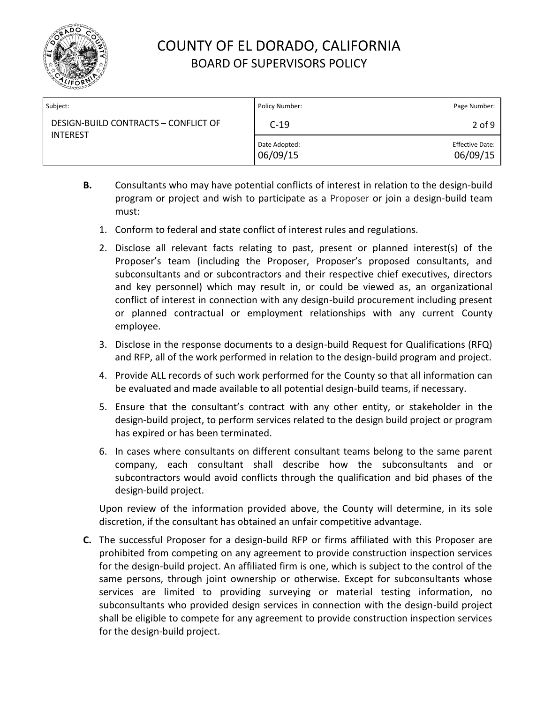

| Subject:                                                | Policy Number:            | Page Number:                       |
|---------------------------------------------------------|---------------------------|------------------------------------|
| DESIGN-BUILD CONTRACTS - CONFLICT OF<br><b>INTEREST</b> | $C-19$                    | $2$ of 9                           |
|                                                         | Date Adopted:<br>06/09/15 | <b>Effective Date:</b><br>06/09/15 |

- **B.** Consultants who may have potential conflicts of interest in relation to the design-build program or project and wish to participate as a Proposer or join a design-build team must:
	- 1. Conform to federal and state conflict of interest rules and regulations.
	- 2. Disclose all relevant facts relating to past, present or planned interest(s) of the Proposer's team (including the Proposer, Proposer's proposed consultants, and subconsultants and or subcontractors and their respective chief executives, directors and key personnel) which may result in, or could be viewed as, an organizational conflict of interest in connection with any design-build procurement including present or planned contractual or employment relationships with any current County employee.
	- 3. Disclose in the response documents to a design-build Request for Qualifications (RFQ) and RFP, all of the work performed in relation to the design-build program and project.
	- 4. Provide ALL records of such work performed for the County so that all information can be evaluated and made available to all potential design-build teams, if necessary.
	- 5. Ensure that the consultant's contract with any other entity, or stakeholder in the design-build project, to perform services related to the design build project or program has expired or has been terminated.
	- 6. In cases where consultants on different consultant teams belong to the same parent company, each consultant shall describe how the subconsultants and or subcontractors would avoid conflicts through the qualification and bid phases of the design-build project.

Upon review of the information provided above, the County will determine, in its sole discretion, if the consultant has obtained an unfair competitive advantage.

**C.** The successful Proposer for a design-build RFP or firms affiliated with this Proposer are prohibited from competing on any agreement to provide construction inspection services for the design-build project. An affiliated firm is one, which is subject to the control of the same persons, through joint ownership or otherwise. Except for subconsultants whose services are limited to providing surveying or material testing information, no subconsultants who provided design services in connection with the design-build project shall be eligible to compete for any agreement to provide construction inspection services for the design-build project.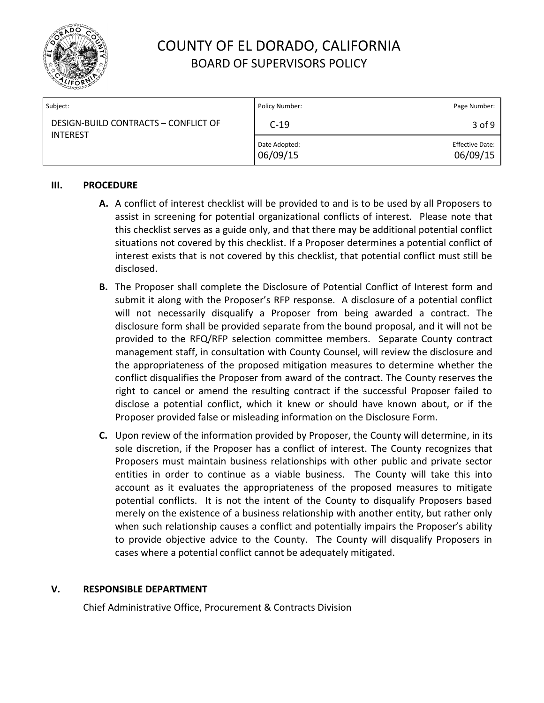

| Subject:                             | Policy Number:            | Page Number:                       |
|--------------------------------------|---------------------------|------------------------------------|
| DESIGN-BUILD CONTRACTS - CONFLICT OF | $C-19$                    | 3 of 9                             |
| <b>INTEREST</b>                      | Date Adopted:<br>06/09/15 | <b>Effective Date:</b><br>06/09/15 |

#### **III. PROCEDURE**

- **A.** A conflict of interest checklist will be provided to and is to be used by all Proposers to assist in screening for potential organizational conflicts of interest. Please note that this checklist serves as a guide only, and that there may be additional potential conflict situations not covered by this checklist. If a Proposer determines a potential conflict of interest exists that is not covered by this checklist, that potential conflict must still be disclosed.
- **B.** The Proposer shall complete the Disclosure of Potential Conflict of Interest form and submit it along with the Proposer's RFP response. A disclosure of a potential conflict will not necessarily disqualify a Proposer from being awarded a contract. The disclosure form shall be provided separate from the bound proposal, and it will not be provided to the RFQ/RFP selection committee members. Separate County contract management staff, in consultation with County Counsel, will review the disclosure and the appropriateness of the proposed mitigation measures to determine whether the conflict disqualifies the Proposer from award of the contract. The County reserves the right to cancel or amend the resulting contract if the successful Proposer failed to disclose a potential conflict, which it knew or should have known about, or if the Proposer provided false or misleading information on the Disclosure Form.
- **C.** Upon review of the information provided by Proposer, the County will determine, in its sole discretion, if the Proposer has a conflict of interest. The County recognizes that Proposers must maintain business relationships with other public and private sector entities in order to continue as a viable business. The County will take this into account as it evaluates the appropriateness of the proposed measures to mitigate potential conflicts. It is not the intent of the County to disqualify Proposers based merely on the existence of a business relationship with another entity, but rather only when such relationship causes a conflict and potentially impairs the Proposer's ability to provide objective advice to the County. The County will disqualify Proposers in cases where a potential conflict cannot be adequately mitigated.

#### **V. RESPONSIBLE DEPARTMENT**

Chief Administrative Office, Procurement & Contracts Division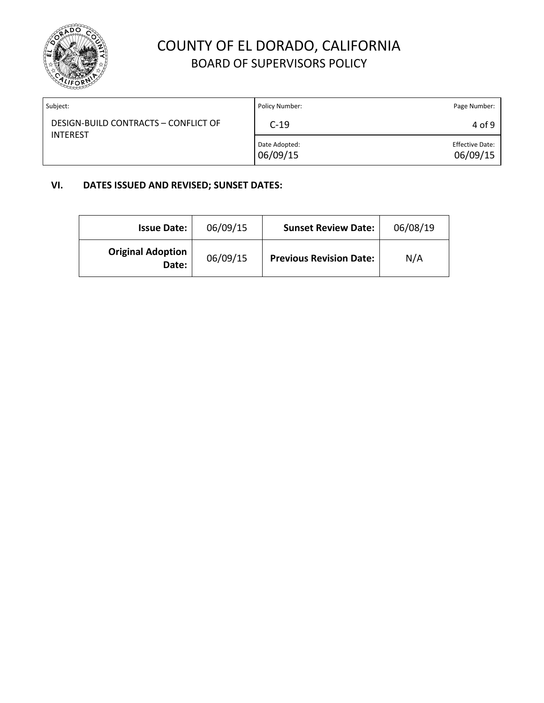

| Subject:                                                | Policy Number:            | Page Number:                       |
|---------------------------------------------------------|---------------------------|------------------------------------|
| DESIGN-BUILD CONTRACTS - CONFLICT OF<br><b>INTEREST</b> | $C-19$                    | 4 of 9                             |
|                                                         | Date Adopted:<br>06/09/15 | <b>Effective Date:</b><br>06/09/15 |

#### **VI. DATES ISSUED AND REVISED; SUNSET DATES:**

| <b>Issue Date:</b>                | 06/09/15 | <b>Sunset Review Date:</b>     | 06/08/19 |
|-----------------------------------|----------|--------------------------------|----------|
| <b>Original Adoption</b><br>Date: | 06/09/15 | <b>Previous Revision Date:</b> | N/A      |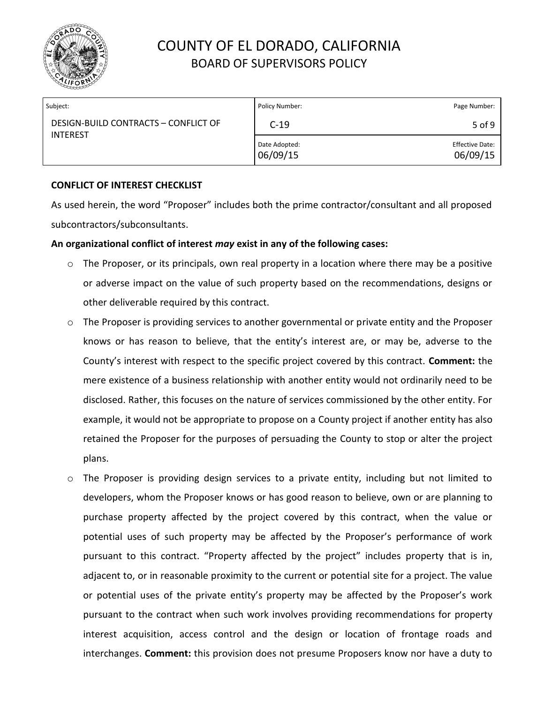

| Subject:                                                | Policy Number:            | Page Number:                       |
|---------------------------------------------------------|---------------------------|------------------------------------|
| DESIGN-BUILD CONTRACTS - CONFLICT OF<br><b>INTEREST</b> | $C-19$                    | 5 of 9                             |
|                                                         | Date Adopted:<br>06/09/15 | <b>Effective Date:</b><br>06/09/15 |

#### **CONFLICT OF INTEREST CHECKLIST**

As used herein, the word "Proposer" includes both the prime contractor/consultant and all proposed subcontractors/subconsultants.

#### **An organizational conflict of interest** *may* **exist in any of the following cases:**

- o The Proposer, or its principals, own real property in a location where there may be a positive or adverse impact on the value of such property based on the recommendations, designs or other deliverable required by this contract.
- o The Proposer is providing services to another governmental or private entity and the Proposer knows or has reason to believe, that the entity's interest are, or may be, adverse to the County's interest with respect to the specific project covered by this contract. **Comment:** the mere existence of a business relationship with another entity would not ordinarily need to be disclosed. Rather, this focuses on the nature of services commissioned by the other entity. For example, it would not be appropriate to propose on a County project if another entity has also retained the Proposer for the purposes of persuading the County to stop or alter the project plans.
- o The Proposer is providing design services to a private entity, including but not limited to developers, whom the Proposer knows or has good reason to believe, own or are planning to purchase property affected by the project covered by this contract, when the value or potential uses of such property may be affected by the Proposer's performance of work pursuant to this contract. "Property affected by the project" includes property that is in, adjacent to, or in reasonable proximity to the current or potential site for a project. The value or potential uses of the private entity's property may be affected by the Proposer's work pursuant to the contract when such work involves providing recommendations for property interest acquisition, access control and the design or location of frontage roads and interchanges. **Comment:** this provision does not presume Proposers know nor have a duty to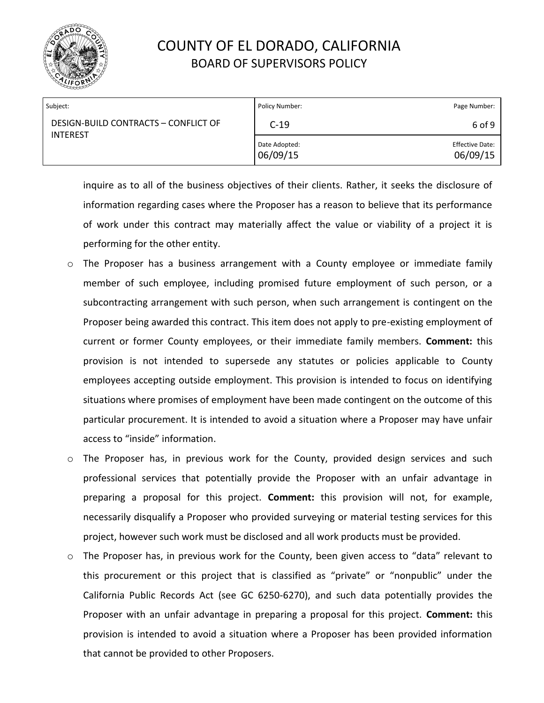

| Subject:                                                | Policy Number:            | Page Number:                       |
|---------------------------------------------------------|---------------------------|------------------------------------|
| DESIGN-BUILD CONTRACTS - CONFLICT OF<br><b>INTEREST</b> | $C-19$                    | 6 of 9                             |
|                                                         | Date Adopted:<br>06/09/15 | <b>Effective Date:</b><br>06/09/15 |

inquire as to all of the business objectives of their clients. Rather, it seeks the disclosure of information regarding cases where the Proposer has a reason to believe that its performance of work under this contract may materially affect the value or viability of a project it is performing for the other entity.

- o The Proposer has a business arrangement with a County employee or immediate family member of such employee, including promised future employment of such person, or a subcontracting arrangement with such person, when such arrangement is contingent on the Proposer being awarded this contract. This item does not apply to pre-existing employment of current or former County employees, or their immediate family members. **Comment:** this provision is not intended to supersede any statutes or policies applicable to County employees accepting outside employment. This provision is intended to focus on identifying situations where promises of employment have been made contingent on the outcome of this particular procurement. It is intended to avoid a situation where a Proposer may have unfair access to "inside" information.
- o The Proposer has, in previous work for the County, provided design services and such professional services that potentially provide the Proposer with an unfair advantage in preparing a proposal for this project. **Comment:** this provision will not, for example, necessarily disqualify a Proposer who provided surveying or material testing services for this project, however such work must be disclosed and all work products must be provided.
- o The Proposer has, in previous work for the County, been given access to "data" relevant to this procurement or this project that is classified as "private" or "nonpublic" under the California Public Records Act (see GC 6250-6270), and such data potentially provides the Proposer with an unfair advantage in preparing a proposal for this project. **Comment:** this provision is intended to avoid a situation where a Proposer has been provided information that cannot be provided to other Proposers.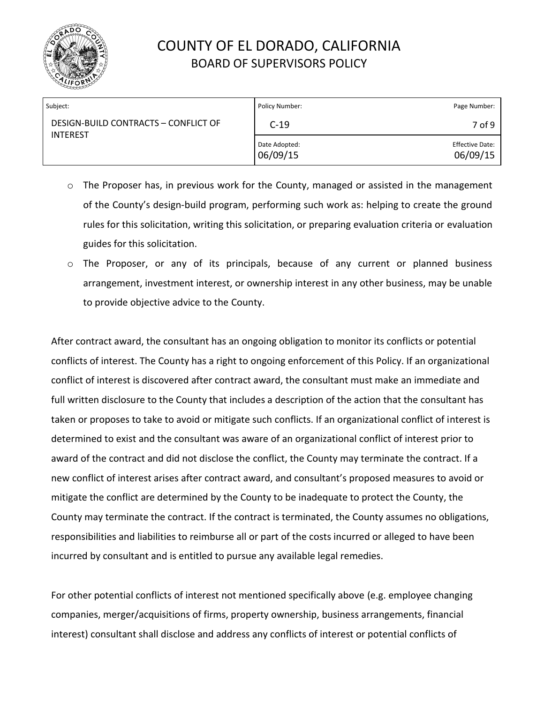

| Subject:                                                | Policy Number:            | Page Number:                       |
|---------------------------------------------------------|---------------------------|------------------------------------|
| DESIGN-BUILD CONTRACTS - CONFLICT OF<br><b>INTEREST</b> | $C-19$                    | 7 of 9                             |
|                                                         | Date Adopted:<br>06/09/15 | <b>Effective Date:</b><br>06/09/15 |

- o The Proposer has, in previous work for the County, managed or assisted in the management of the County's design-build program, performing such work as: helping to create the ground rules for this solicitation, writing this solicitation, or preparing evaluation criteria or evaluation guides for this solicitation.
- o The Proposer, or any of its principals, because of any current or planned business arrangement, investment interest, or ownership interest in any other business, may be unable to provide objective advice to the County.

After contract award, the consultant has an ongoing obligation to monitor its conflicts or potential conflicts of interest. The County has a right to ongoing enforcement of this Policy. If an organizational conflict of interest is discovered after contract award, the consultant must make an immediate and full written disclosure to the County that includes a description of the action that the consultant has taken or proposes to take to avoid or mitigate such conflicts. If an organizational conflict of interest is determined to exist and the consultant was aware of an organizational conflict of interest prior to award of the contract and did not disclose the conflict, the County may terminate the contract. If a new conflict of interest arises after contract award, and consultant's proposed measures to avoid or mitigate the conflict are determined by the County to be inadequate to protect the County, the County may terminate the contract. If the contract is terminated, the County assumes no obligations, responsibilities and liabilities to reimburse all or part of the costs incurred or alleged to have been incurred by consultant and is entitled to pursue any available legal remedies.

For other potential conflicts of interest not mentioned specifically above (e.g. employee changing companies, merger/acquisitions of firms, property ownership, business arrangements, financial interest) consultant shall disclose and address any conflicts of interest or potential conflicts of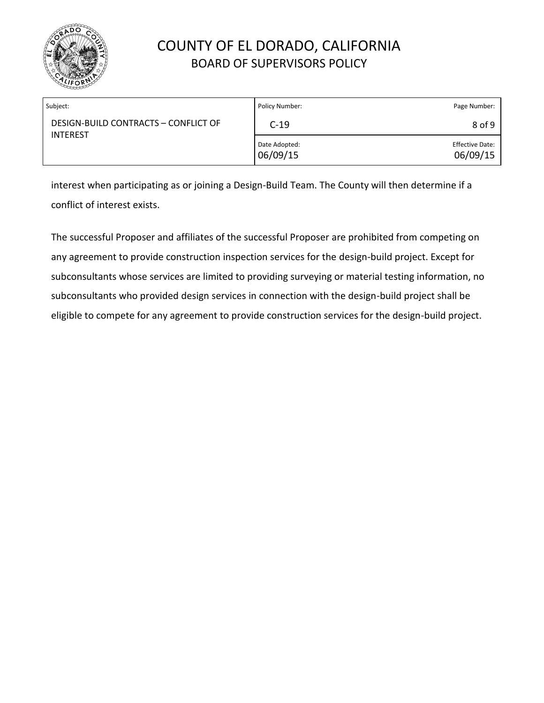

| Subject:                                                | Policy Number:            | Page Number:                       |
|---------------------------------------------------------|---------------------------|------------------------------------|
| DESIGN-BUILD CONTRACTS - CONFLICT OF<br><b>INTEREST</b> | $C-19$                    | 8 of 9                             |
|                                                         | Date Adopted:<br>06/09/15 | <b>Effective Date:</b><br>06/09/15 |

interest when participating as or joining a Design-Build Team. The County will then determine if a conflict of interest exists.

The successful Proposer and affiliates of the successful Proposer are prohibited from competing on any agreement to provide construction inspection services for the design-build project. Except for subconsultants whose services are limited to providing surveying or material testing information, no subconsultants who provided design services in connection with the design-build project shall be eligible to compete for any agreement to provide construction services for the design-build project.